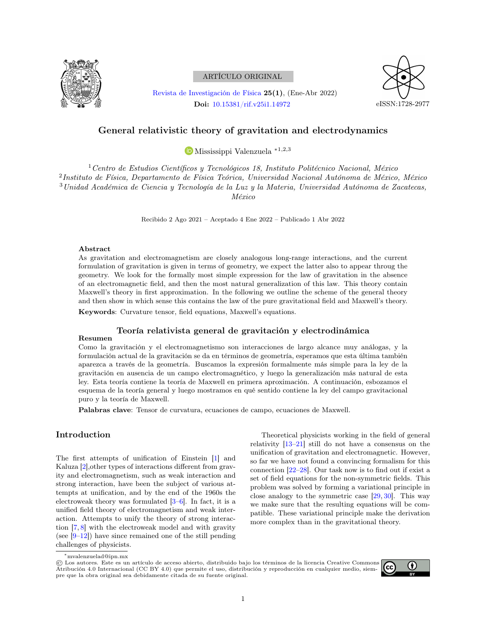

# ARTÍCULO ORIGINAL

[Revista de Investigación de Física](https://revistasinvestigacion.unmsm.edu.pe/index.php/fisica) 25(1), (Ene-Abr 2022) Doi: [10.15381/rif.v25i1.14972](https://doi.org/10.15381/rif.v25i1.14972)



# General relativistic theory of gravitation and electrodynamics

[M](https://orcid.org/0000-0002-8532-229X)ississippi Valenzuela ∗1,2,3

Centro de Estudios Científicos y Tecnológicos 18, Instituto Politécnico Nacional, México Instituto de Física, Departamento de Física Teórica, Universidad Nacional Autónoma de México, México Unidad Académica de Ciencia y Tecnología de la Luz y la Materia, Universidad Autónoma de Zacatecas, México

Recibido 2 Ago 2021 – Aceptado 4 Ene 2022 – Publicado 1 Abr 2022

#### Abstract

As gravitation and electromagnetism are closely analogous long-range interactions, and the current formulation of gravitation is given in terms of geometry, we expect the latter also to appear throug the geometry. We look for the formally most simple expression for the law of gravitation in the absence of an electromagnetic field, and then the most natural generalization of this law. This theory contain Maxwell's theory in first approximation. In the following we outline the scheme of the general theory and then show in which sense this contains the law of the pure gravitational field and Maxwell's theory.

Keywords: Curvature tensor, field equations, Maxwell's equations.

#### Teoría relativista general de gravitación y electrodinámica

### Resumen

Como la gravitación y el electromagnetismo son interacciones de largo alcance muy análogas, y la formulación actual de la gravitación se da en términos de geometría, esperamos que esta última también aparezca a través de la geometría. Buscamos la expresión formalmente más simple para la ley de la gravitación en ausencia de un campo electromagnético, y luego la generalización más natural de esta ley. Esta teoría contiene la teoría de Maxwell en primera aproximación. A continuación, esbozamos el esquema de la teoría general y luego mostramos en qué sentido contiene la ley del campo gravitacional puro y la teoría de Maxwell.

Palabras clave: Tensor de curvatura, ecuaciones de campo, ecuaciones de Maxwell.

## Introduction

The first attempts of unification of Einstein [\[1\]](#page-7-0) and Kaluza [\[2\]](#page-7-1),other types of interactions different from gravity and electromagnetism, such as weak interaction and strong interaction, have been the subject of various attempts at unification, and by the end of the 1960s the electroweak theory was formulated [\[3–](#page-7-2)[6\]](#page-7-3). In fact, it is a unified field theory of electromagnetism and weak interaction. Attempts to unify the theory of strong interaction [\[7,](#page-7-4) [8\]](#page-7-5) with the electroweak model and with gravity (see  $[9-12]$  $[9-12]$ ) have since remained one of the still pending challenges of physicists.

Theoretical physicists working in the field of general relativity  $[13-21]$  $[13-21]$  still do not have a consensus on the unification of gravitation and electromagnetic. However, so far we have not found a convincing formalism for this connection [\[22](#page-7-10)[–28\]](#page-7-11). Our task now is to find out if exist a set of field equations for the non-symmetric fields. This problem was solved by forming a variational principle in close analogy to the symmetric case [\[29,](#page-7-12) [30\]](#page-8-0). This way we make sure that the resulting equations will be compatible. These variational principle make the derivation more complex than in the gravitational theory.

<sup>©</sup> Los autores. Este es un artículo de acceso abierto, distribuido bajo los términos de la licencia Creative Commons Atribución 4.0 Internacional (CC BY 4.0) que permite el uso, distribución y reproducción en cualquier medio, siempre que la obra original sea debidamente citada de su fuente original.



<sup>∗</sup>mvalenzuelad@ipn.mx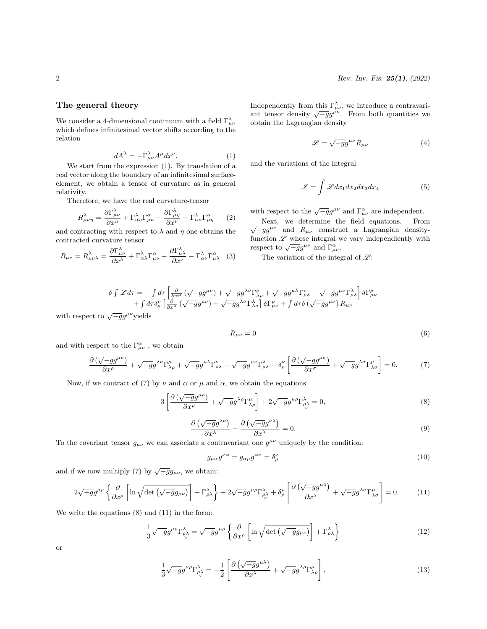### The general theory

We consider a 4-dimensional continuum with a field  $\Gamma^{\lambda}_{\mu\nu}$ which defines infinitesimal vector shifts according to the relation

$$
dA^{\lambda} = -\Gamma^{\lambda}_{\mu\nu} A^{\mu} dx^{\nu}.
$$
 (1)

We start from the expression (1). By translation of a real vector along the boundary of an infinitesimal surfaceelement, we obtain a tensor of curvature as in general relativity.

Therefore, we have the real curvature-tensor

$$
R^{\lambda}_{\mu\nu\eta} = \frac{\partial \Gamma^{\lambda}_{\mu\nu}}{\partial x^{\eta}} + \Gamma^{\lambda}_{\alpha\eta} \Gamma^{\alpha}_{\mu\nu} - \frac{\partial \Gamma^{\lambda}_{\mu\eta}}{\partial x^{\nu}} - \Gamma^{\lambda}_{\alpha\nu} \Gamma^{\alpha}_{\mu\eta} \qquad (2)
$$

and contracting with respect to  $\lambda$  and  $\eta$  one obtains the contracted curvature tensor

$$
R_{\mu\nu} = R^{\lambda}_{\mu\nu\lambda} = \frac{\partial \Gamma^{\lambda}_{\mu\nu}}{\partial x^{\lambda}} + \Gamma^{\lambda}_{\alpha\lambda} \Gamma^{\alpha}_{\mu\nu} - \frac{\partial \Gamma^{\lambda}_{\mu\lambda}}{\partial x^{\nu}} - \Gamma^{\lambda}_{\alpha\nu} \Gamma^{\alpha}_{\mu\lambda}.
$$
 (3)

Independently from this  $\Gamma_{\mu\nu}^{\lambda}$ , we introduce a contravariant tensor density  $\sqrt{-g}g^{\mu\nu}$ . From both quantities we obtain the Lagrangian density

$$
\mathcal{L} = \sqrt{-g}g^{\mu\nu}R_{\mu\nu} \tag{4}
$$

and the variations of the integral

$$
\mathscr{I} = \int \mathscr{L} dx_1 dx_2 dx_3 dx_4 \tag{5}
$$

with respect to the  $\sqrt{-g}g^{\mu\nu}$  and  $\Gamma^{\alpha}_{\mu\nu}$  are independent.

Next, we determine the field equations. From wext, we determine the next equations. From<br> $\sqrt{-g}g^{\mu\nu}$  and  $R_{\mu\nu}$  construct a Lagrangian densityfunction  $\mathscr L$  whose integral we vary independiently with respect to  $\sqrt{-g}g^{\mu\nu}$  and  $\Gamma^{\alpha}_{\mu\nu}$ .

The variation of the integral of  $\mathscr{L}$ :

$$
\delta \int \mathcal{L} d\tau = - \int d\tau \left[ \frac{\partial}{\partial x^{\mu}} \left( \sqrt{-g} g^{\mu \nu} \right) + \sqrt{-g} g^{\lambda \nu} \Gamma^{\mu}_{\lambda \rho} + \sqrt{-g} g^{\mu \lambda} \Gamma^{\nu}_{\rho \lambda} - \sqrt{-g} g^{\mu \nu} \Gamma^{\lambda}_{\rho \lambda} \right] \delta \Gamma^{\rho}_{\mu \nu} + \int d\tau \delta^{\nu}_{\rho} \left[ \frac{\partial}{\partial x^{\lambda}} \left( \sqrt{-g} g^{\mu \nu} \right) + \sqrt{-g} g^{\lambda \sigma} \Gamma^{\lambda}_{\lambda \sigma} \right] \delta \Gamma^{\rho}_{\mu \nu} + \int d\tau \delta \left( \sqrt{-g} g^{\mu \nu} \right) R_{\mu \nu}
$$

with respect to  $\sqrt{-g}g^{\mu\nu}$  yields

$$
R_{\mu\nu} = 0 \tag{6}
$$

and with respect to the  $\Gamma^{\alpha}_{\mu\nu}$ , we obtain

$$
\frac{\partial \left(\sqrt{-g}g^{\mu\nu}\right)}{\partial x^{\rho}} + \sqrt{-g}g^{\lambda\nu}\Gamma^{\mu}_{\lambda\rho} + \sqrt{-g}g^{\mu\lambda}\Gamma^{\nu}_{\rho\lambda} - \sqrt{-g}g^{\mu\nu}\Gamma^{\lambda}_{\rho\lambda} - \delta^{\nu}_{\rho}\left[\frac{\partial \left(\sqrt{-g}g^{\mu\sigma}\right)}{\partial x^{\sigma}} + \sqrt{-g}g^{\lambda\sigma}\Gamma^{\mu}_{\lambda\sigma}\right] = 0. \tag{7}
$$

Now, if we contract of (7) by  $\nu$  and  $\alpha$  or  $\mu$  and  $\alpha$ , we obtain the equations

$$
3\left[\frac{\partial\left(\sqrt{-g}g^{\mu\rho}\right)}{\partial x^{\rho}}+\sqrt{-g}g^{\lambda\rho}\Gamma_{\lambda\rho}^{\mu}\right]+2\sqrt{-g}g^{\mu\rho}\Gamma_{\rho\lambda}^{\lambda}=0,
$$
\n(8)

$$
\frac{\partial \left(\sqrt{-g}g^{\lambda \nu}\right)}{\partial x^{\lambda}} - \frac{\partial \left(\sqrt{-g}g^{\nu \lambda}\right)}{\partial x^{\lambda}} = 0.
$$
\n(9)

To the covariant tensor  $g_{\mu\nu}$  we can associate a contravariant one  $g^{\mu\nu}$  uniquely by the condition:

$$
g_{\mu\alpha}g^{\nu\alpha} = g_{\alpha\mu}g^{\alpha\nu} = \delta^{\nu}_{\mu}
$$
\n(10)

and if we now multiply (7) by  $\sqrt{-g}g_{\mu\nu}$ , we obtain:

$$
2\sqrt{-g}g^{\mu\rho}\left\{\frac{\partial}{\partial x^{\rho}}\left[\ln\sqrt{\det\left(\sqrt{-g}g_{\mu\nu}\right)}\right]+\Gamma^{\lambda}_{\rho\lambda}\right\}+2\sqrt{-g}g^{\mu\rho}\Gamma^{\lambda}_{\rho\lambda}+\delta^{\rho}_{\rho}\left[\frac{\partial\left(\sqrt{-g}g^{\mu\lambda}\right)}{\partial x^{\lambda}}+\sqrt{-g}g^{\lambda\sigma}\Gamma^{\mu}_{\lambda\sigma}\right]=0.\tag{11}
$$

We write the equations (8) and (11) in the form:

$$
\frac{1}{3}\sqrt{-g}g^{\mu\rho}\Gamma^{\lambda}_{\rho\lambda} = \sqrt{-g}g^{\mu\rho}\left\{\frac{\partial}{\partial x^{\rho}}\left[\ln\sqrt{\det\left(\sqrt{-g}g_{\mu\nu}\right)}\right] + \Gamma^{\lambda}_{\rho\lambda}\right\}\right\}
$$
(12)

or

$$
\frac{1}{3}\sqrt{-g}g^{\mu\rho}\Gamma^{\lambda}_{\rho\lambda} = -\frac{1}{2}\left[\frac{\partial\left(\sqrt{-g}g^{\mu\lambda}\right)}{\partial x^{\lambda}} + \sqrt{-g}g^{\lambda\rho}\Gamma^{\mu}_{\lambda\rho}\right].\tag{13}
$$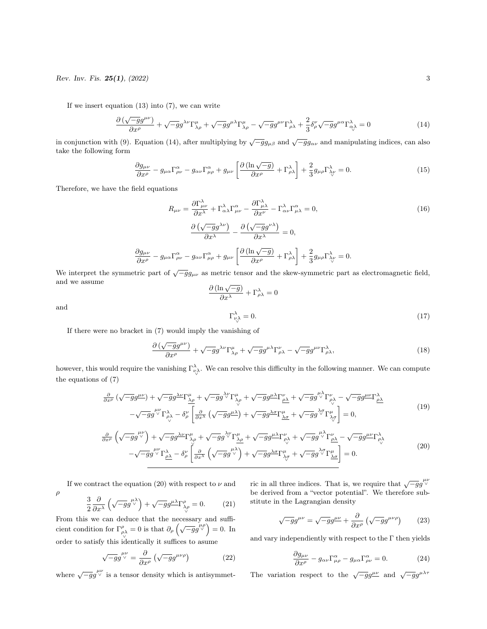If we insert equation  $(13)$  into  $(7)$ , we can write

$$
\frac{\partial \left(\sqrt{-g}g^{\mu\nu}\right)}{\partial x^{\rho}} + \sqrt{-g}g^{\lambda\nu}\Gamma^{\mu}_{\lambda\rho} + \sqrt{-g}g^{\mu\lambda}\Gamma^{\mu}_{\lambda\rho} - \sqrt{-g}g^{\mu\nu}\Gamma^{\lambda}_{\rho\lambda} + \frac{2}{3}\delta^{\nu}_{\rho}\sqrt{-g}g^{\mu\alpha}\Gamma^{\lambda}_{\alpha\lambda} = 0 \tag{14}
$$

in conjunction with (9). Equation (14), after multiplying by  $\sqrt{-g}g_{\mu\beta}$  and  $\sqrt{-g}g_{\alpha\nu}$  and manipulating indices, can also take the following form

$$
\frac{\partial g_{\mu\nu}}{\partial x^{\rho}} - g_{\mu\alpha} \Gamma^{\alpha}_{\rho\nu} - g_{\alpha\nu} \Gamma^{\alpha}_{\mu\rho} + g_{\mu\nu} \left[ \frac{\partial (\ln \sqrt{-g})}{\partial x^{\rho}} + \Gamma^{\lambda}_{\rho\lambda} \right] + \frac{2}{3} g_{\mu\rho} \Gamma^{\lambda}_{\lambda\mu} = 0. \tag{15}
$$

Therefore, we have the field equations

$$
R_{\mu\nu} = \frac{\partial \Gamma^{\lambda}_{\mu\nu}}{\partial x^{\lambda}} + \Gamma^{\lambda}_{\alpha\lambda} \Gamma^{\alpha}_{\mu\nu} - \frac{\partial \Gamma^{\lambda}_{\mu\lambda}}{\partial x^{\nu}} - \Gamma^{\lambda}_{\alpha\nu} \Gamma^{\alpha}_{\mu\lambda} = 0,
$$
\n
$$
\frac{\partial \left(\sqrt{-g}g^{\lambda\nu}\right)}{\partial x^{\lambda}} - \frac{\partial \left(\sqrt{-g}g^{\nu\lambda}\right)}{\partial x^{\lambda}} = 0,
$$
\n
$$
\frac{\partial g_{\mu\nu}}{\partial x^{\rho}} - g_{\mu\alpha} \Gamma^{\alpha}_{\rho\nu} - g_{\alpha\nu} \Gamma^{\alpha}_{\mu\rho} + g_{\mu\nu} \left[ \frac{\partial \left(\ln \sqrt{-g}\right)}{\partial x^{\rho}} + \Gamma^{\lambda}_{\rho\lambda} \right] + \frac{2}{3} g_{\mu\rho} \Gamma^{\lambda}_{\lambda\nu} = 0.
$$
\n(16)

We interpret the symmetric part of  $\sqrt{-g}g_{\mu\nu}$  as metric tensor and the skew-symmetric part as electromagnetic field, and we assume

$$
\frac{\partial (\ln \sqrt{-g})}{\partial x^{\lambda}} + \Gamma^{\lambda}_{\rho \lambda} = 0
$$
  

$$
\Gamma^{\lambda}_{\nu \lambda} = 0.
$$
 (17)

and

ρ

If there were no bracket in (7) would imply the vanishing of

$$
\frac{\partial \left(\sqrt{-g}g^{\mu\nu}\right)}{\partial x^{\rho}} + \sqrt{-g}g^{\lambda\nu}\Gamma^{\mu}_{\lambda\rho} + \sqrt{-g}g^{\mu\lambda}\Gamma^{\nu}_{\rho\lambda} - \sqrt{-g}g^{\mu\nu}\Gamma^{\lambda}_{\rho\lambda},\tag{18}
$$

however, this would require the vanishing  $\Gamma_{\nu \lambda}^{\lambda}$ . We can resolve this difficulty in the following manner. We can compute the equations of (7)

$$
\frac{\partial}{\partial x^{\rho}}\left(\sqrt{-g}g^{\mu\nu}\right) + \sqrt{-g}g^{\lambda\nu}\Gamma^{\mu}_{\lambda\rho} + \sqrt{-g}g^{\lambda\gamma}\Gamma^{\mu}_{\lambda\rho} + \sqrt{-g}g^{\mu\lambda}\Gamma^{\nu}_{\rho\lambda} + \sqrt{-g}g^{\mu\lambda}\Gamma^{\nu}_{\rho\lambda} - \sqrt{-g}g^{\mu\nu}\Gamma^{\lambda}_{\rho\lambda} \n- \sqrt{-g}g^{\mu\nu}\Gamma^{\lambda}_{\rho\lambda} - \delta^{\nu}_{\rho}\left[\frac{\partial}{\partial x^{\lambda}}\left(\sqrt{-g}g^{\mu\lambda}\right) + \sqrt{-g}g^{\lambda\sigma}\Gamma^{\mu}_{\lambda\sigma} + \sqrt{-g}g^{\lambda\sigma}\Gamma^{\mu}_{\lambda\sigma}\right] = 0,
$$
\n(19)

$$
\frac{\partial}{\partial x^{\rho}}\left(\sqrt{-g}g^{\mu\nu}\right) + \sqrt{-g}g^{\lambda\nu}\Gamma^{\mu}_{\lambda\rho} + \sqrt{-g}g^{\lambda\nu}\Gamma^{\mu}_{\underline{\lambda}\underline{\rho}} + \sqrt{-g}g^{\mu\lambda}\Gamma^{\nu}_{\rho\lambda} + \sqrt{-g}g^{\mu\lambda}\Gamma^{\nu}_{\underline{\rho}\lambda} - \sqrt{-g}g^{\mu\nu}\Gamma^{\lambda}_{\rho\lambda} \n- \sqrt{-g}g^{\mu\nu}\Gamma^{\lambda}_{\underline{\rho}\lambda} - \delta^{\nu}_{\rho}\left[\frac{\partial}{\partial x^{\lambda}}\left(\sqrt{-g}g^{\mu\lambda}\right) + \sqrt{-g}g^{\lambda\sigma}\Gamma^{\mu}_{\lambda\sigma} + \sqrt{-g}g^{\lambda\sigma}\Gamma^{\mu}_{\underline{\lambda}\sigma}\right] = 0.
$$
\n(20)

If we contract the equation (20) with respect to  $\nu$  and

$$
\frac{3}{2} \frac{\partial}{\partial x^{\lambda}} \left( \sqrt{-g} g^{\mu \lambda} \right) + \sqrt{-g} g^{\mu \lambda} \Gamma^{\rho}_{\lambda \rho} = 0. \tag{21}
$$

From this we can deduce that the necessary and sufficient condition for  $\Gamma^{\rho}_{\rho\lambda} = 0$  is that  $\partial_{\rho} \left( \sqrt{-g} g^{\mu\rho} \right) = 0$ . In order to satisfy this identically it suffices to asume

$$
\sqrt{-g}g^{\mu\nu}_{\vee} = \frac{\partial}{\partial x^{\rho}}\left(\sqrt{-g}g^{\mu\nu\rho}\right) \tag{22}
$$

where  $\sqrt{-g}g^{\mu\nu}$  is a tensor density which is antisymmet-

ric in all three indices. That is, we require that  $\sqrt{-g}g^{\mu\nu}$ be derived from a "vector potential". We therefore substitute in the Lagrangian density

$$
\sqrt{-g}g^{\mu\nu} = \sqrt{-g}g^{\mu\nu} + \frac{\partial}{\partial x^{\rho}}\left(\sqrt{-g}g^{\mu\nu\rho}\right) \tag{23}
$$

and vary independiently with respect to the  $\Gamma$  then yields

$$
\frac{\partial g_{\mu\nu}}{\partial x^{\rho}} - g_{\alpha\nu} \Gamma^{\alpha}_{\mu\rho} - g_{\mu\alpha} \Gamma^{\alpha}_{\rho\nu} = 0.
$$
 (24)

The variation respect to the  $\sqrt{-g}g^{\mu\nu}$  and  $\sqrt{-g}g^{\mu\lambda\tau}$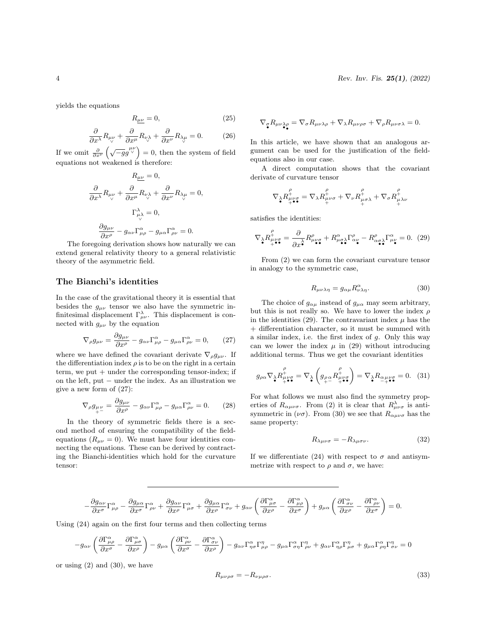yields the equations

$$
R_{\mu\nu} = 0,\t\t(25)
$$

$$
\frac{\partial}{\partial x^{\lambda}} R_{\mu\nu} + \frac{\partial}{\partial x^{\mu}} R_{\nu\lambda} + \frac{\partial}{\partial x^{\nu}} R_{\lambda\mu} = 0. \tag{26}
$$

If we omit  $\frac{\partial}{\partial x^{\nu}} \left( \sqrt{-g} g^{\mu \nu} \right) = 0$ , then the system of field equations not weakened is therefore:

$$
R_{\mu\nu} = 0,
$$
  
\n
$$
\frac{\partial}{\partial x^{\lambda}} R_{\mu\nu} + \frac{\partial}{\partial x^{\mu}} R_{\nu\lambda} + \frac{\partial}{\partial x^{\nu}} R_{\lambda\mu} = 0,
$$
  
\n
$$
\Gamma^{\lambda}_{\mu\lambda} = 0,
$$
  
\n
$$
\frac{\partial g_{\mu\nu}}{\partial x^{\rho}} - g_{\alpha\nu} \Gamma^{\alpha}_{\mu\rho} - g_{\mu\alpha} \Gamma^{\alpha}_{\rho\nu} = 0.
$$

The foregoing derivation shows how naturally we can extend general relativity theory to a general relativistic theory of the asymmetric field.

## The Bianchi's identities

In the case of the gravitational theory it is essential that besides the  $g_{\mu\nu}$  tensor we also have the symmetric infinitesimal displacement  $\Gamma_{\mu\nu}^{\lambda}$ . This displacement is connected with  $g_{\mu\nu}$  by the equation

$$
\nabla_{\rho} g_{\mu\nu} = \frac{\partial g_{\mu\nu}}{\partial x^{\rho}} - g_{\alpha\nu} \Gamma^{\alpha}_{\mu\rho} - g_{\mu\alpha} \Gamma^{\alpha}_{\rho\nu} = 0, \qquad (27)
$$

where we have defined the covariant derivate  $\nabla_{\rho}g_{\mu\nu}$ . If the differentiation index  $\rho$  is to be on the right in a certain  $term, we put + under the corresponding tensor-index; if$ on the left, put − under the index. As an illustration we give a new form of (27):

$$
\nabla_{\rho} g_{\mu\nu} = \frac{\partial g_{\mu\nu}}{\partial x^{\rho}} - g_{\alpha\nu} \Gamma^{\alpha}_{\mu\rho} - g_{\mu\alpha} \Gamma^{\alpha}_{\rho\nu} = 0. \qquad (28)
$$

In the theory of symmetric fields there is a second method of ensuring the compatibility of the fieldequations  $(R_{\mu\nu} = 0)$ . We must have four identities connecting the equations. These can be derived by contracting the Bianchi-identities which hold for the curvature tensor:

$$
\nabla_{\sigma}R_{\mu\nu\lambda\rho} = \nabla_{\sigma}R_{\mu\nu\lambda\rho} + \nabla_{\lambda}R_{\mu\nu\rho\sigma} + \nabla_{\rho}R_{\mu\nu\sigma\lambda} = 0.
$$

In this article, we have shown that an analogous argument can be used for the justification of the fieldequations also in our case.

A direct computation shows that the covariant derivate of curvature tensor

$$
\nabla_{\lambda}R^{\stackrel{\rho}{\mu}}_{\underset{+}{+}\bullet\bullet}=\nabla_{\lambda}R^{\stackrel{\rho}{\mu}}_{\underset{+}{\mu}\nu\sigma}+\nabla_{\nu}R^{\stackrel{\rho}{\mu}}_{\underset{+}{\mu}\sigma\lambda}+\nabla_{\sigma}R^{\stackrel{\rho}{\mu}}_{\underset{+}{\mu}\lambda\nu}
$$

satisfies the identities:

$$
\nabla_{\lambda} R^{\rho}_{\mu\nu\sigma} = \frac{\partial}{\partial x^{\lambda}} R^{\rho}_{\mu\nu\sigma} + R^{\alpha}_{\mu\sigma\lambda} \Gamma^{\rho}_{\alpha\nu} - R^{\rho}_{\alpha\sigma\lambda} \Gamma^{\alpha}_{\mu\nu} = 0. \tag{29}
$$

From (2) we can form the covariant curvature tensor in analogy to the symmetric case,

$$
R_{\mu\nu\lambda\eta} = g_{\alpha\mu} R^{\alpha}_{\nu\lambda\eta}.
$$
 (30)

The choice of  $g_{\alpha\mu}$  instead of  $g_{\mu\alpha}$  may seem arbitrary, but this is not really so. We have to lower the index  $\rho$ in the identities (29). The contravariant index  $\mu$  has the + differentiation character, so it must be summed with a similar index, i.e. the first index of  $q$ . Only this way can we lower the index  $\mu$  in (29) without introducing additional terms. Thus we get the covariant identities

$$
g_{\rho\alpha}\nabla_{\lambda}R^{\rho}_{\mu\nu\sigma} = \nabla_{\lambda}\left(g_{\rho\alpha}R^{\rho}_{\mu\nu\sigma}\right) = \nabla_{\lambda}R_{\alpha\mu\nu\sigma} = 0. \quad (31)
$$

For what follows we must also find the symmetry properties of  $R_{\alpha\mu\nu\sigma}$ . From (2) it is clear that  $R^{\lambda}_{\mu\nu\sigma}$  is antisymmetric in  $(\nu \sigma)$ . From (30) we see that  $R_{\alpha\mu\nu\sigma}$  has the same property:

$$
R_{\lambda\mu\nu\sigma} = -R_{\lambda\mu\sigma\nu}.\tag{32}
$$

If we differentiate (24) with respect to  $\sigma$  and antisymmetrize with respect to  $\rho$  and  $\sigma$ , we have:

$$
-\frac{\partial g_{\alpha\nu}}{\partial x^\sigma}\Gamma^\alpha_{\mu\rho}-\frac{\partial g_{\mu\alpha}}{\partial x^\sigma}\Gamma^\alpha_{\rho\nu}+\frac{\partial g_{\alpha\nu}}{\partial x^\rho}\Gamma^\alpha_{\mu\sigma}+\frac{\partial g_{\mu\alpha}}{\partial x^\rho}\Gamma^\alpha_{\sigma\nu}+g_{\alpha\nu}\left(\frac{\partial \Gamma^\alpha_{\mu\sigma}}{\partial x^\rho}-\frac{\partial \Gamma^\alpha_{\mu\rho}}{\partial x^\sigma}\right)+g_{\mu\alpha}\left(\frac{\partial \Gamma^\alpha_{\sigma\nu}}{\partial x^\rho}-\frac{\partial \Gamma^\alpha_{\rho\nu}}{\partial x^\sigma}\right)=0.
$$

Using (24) again on the first four terms and then collecting terms

$$
-g_{\alpha\nu}\left(\frac{\partial\Gamma^{\alpha}_{\mu\rho}}{\partial x^{\sigma}}-\frac{\partial\Gamma^{\alpha}_{\mu\sigma}}{\partial x^{\rho}}\right)-g_{\mu\alpha}\left(\frac{\partial\Gamma^{\alpha}_{\rho\nu}}{\partial x^{\sigma}}-\frac{\partial\Gamma^{\alpha}_{\sigma\nu}}{\partial x^{\rho}}\right)-g_{\alpha\nu}\Gamma^{\alpha}_{\eta\sigma}\Gamma^{\eta}_{\mu\rho}-g_{\mu\alpha}\Gamma^{\alpha}_{\sigma\eta}\Gamma^{\eta}_{\rho\nu}+g_{\alpha\nu}\Gamma^{\alpha}_{\eta\rho}\Gamma^{\eta}_{\mu\sigma}+g_{\mu\alpha}\Gamma^{\alpha}_{\rho\eta}\Gamma^{\eta}_{\sigma\nu}=0
$$

or using  $(2)$  and  $(30)$ , we have

$$
R_{\mu\nu\rho\sigma} = -R_{\nu\mu\rho\sigma}.\tag{33}
$$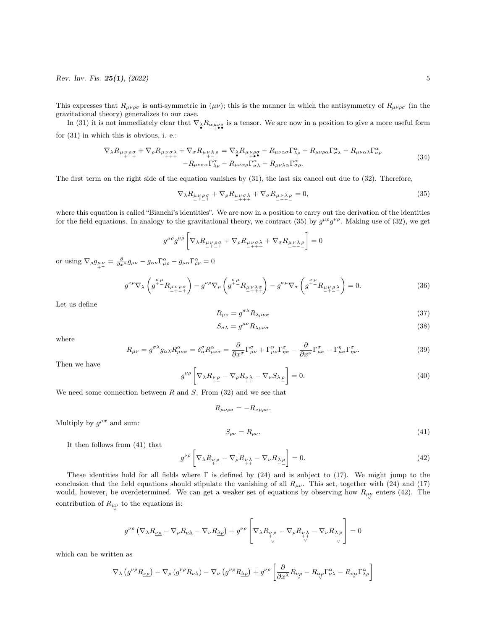This expresses that  $R_{\mu\nu\rho\sigma}$  is anti-symmetric in  $(\mu\nu)$ ; this is the manner in which the antisymmetry of  $R_{\mu\nu\rho\sigma}$  (in the gravitational theory) generalizes to our case.

In (31) it is not immediately clear that  $\nabla_{\lambda} R_{\alpha\mu\nu\sigma}$  is a tensor. We are now in a position to give a more useful form for (31) in which this is obvious, i. e.:

$$
\nabla_{\lambda} R_{\mu\nu\rho\sigma} + \nabla_{\rho} R_{\mu\nu\sigma\lambda} + \nabla_{\sigma} R_{\mu\nu\lambda\rho} = \nabla_{\lambda} R_{\mu\nu\rho\sigma} - R_{\mu\nu\alpha\sigma} \Gamma^{\alpha}_{\lambda\rho} - R_{\mu\nu\rho\alpha} \Gamma^{\alpha}_{\sigma\lambda} - R_{\mu\nu\alpha\lambda} \Gamma^{\alpha}_{\sigma\rho} - R_{\mu\nu\sigma\alpha} \Gamma^{\alpha}_{\lambda\rho} - R_{\mu\nu\alpha\rho} \Gamma^{\alpha}_{\sigma\lambda} - R_{\mu\nu\lambda\alpha} \Gamma^{\alpha}_{\sigma\rho}.
$$
\n(34)

The first term on the right side of the equation vanishes by (31), the last six cancel out due to (32). Therefore,

$$
\nabla_{\lambda} R_{\mu\nu\rho\sigma} + \nabla_{\rho} R_{\mu\nu\sigma\lambda} + \nabla_{\sigma} R_{\mu\nu\lambda\rho} = 0, \tag{35}
$$

where this equation is called "Bianchi's identities". We are now in a position to carry out the derivation of the identities for the field equations. In analogy to the gravitational theory, we contract (35) by  $g^{\mu\rho}g^{\nu\rho}$ . Making use of (32), we get

$$
g^{\mu\rho}g^{\nu\rho}\left[\nabla_{\lambda}R_{\mu\nu\rho\sigma}^{\phantom{\mu\nu\rho\sigma}+}\nabla_{\rho}R_{\mu\nu\sigma\lambda}^{\phantom{\mu\nu\rho\sigma}+}\nabla_{\sigma}R_{\mu\nu\lambda\rho}^{\phantom{\mu\nu\rho\sigma}+}\right]=0
$$

or using  $\nabla_{\rho} g_{\mu\nu} = \frac{\partial}{\partial x^{\rho}} g_{\mu\nu} - g_{\alpha\nu} \Gamma^{\alpha}_{\mu\rho} - g_{\mu\alpha} \Gamma^{\alpha}_{\rho\nu} = 0$ 

$$
g^{\nu\rho}\nabla_{\lambda}\left(g^{\mu\nu}R_{\mu\nu\rho\sigma}^{\mu\nu\rho\sigma}\right) - g^{\nu\rho}\nabla_{\rho}\left(g^{\mu\nu}R_{\mu\nu\lambda\sigma}^{\nu\nu\rho}\right) - g^{\sigma\mu}\nabla_{\sigma}\left(g^{\mu\rho}R_{\mu\nu\rho\lambda}^{\nu\rho\lambda}\right) = 0. \tag{36}
$$

Let us define

$$
R_{\mu\nu} = g^{\sigma\lambda} R_{\lambda\mu\nu\sigma} \tag{37}
$$

$$
S_{\sigma\lambda} = g^{\mu\nu} R_{\lambda\mu\nu\sigma} \tag{38}
$$

where

$$
R_{\mu\nu} = g^{\sigma\lambda} g_{\alpha\lambda} R^{\alpha}_{\mu\nu\sigma} = \delta^{\sigma}_{\alpha} R^{\alpha}_{\mu\nu\sigma} = \frac{\partial}{\partial x^{\sigma}} \Gamma^{\sigma}_{\mu\nu} + \Gamma^{\eta}_{\mu\nu} \Gamma^{\sigma}_{\eta\sigma} - \frac{\partial}{\partial x^{\nu}} \Gamma^{\sigma}_{\mu\sigma} - \Gamma^{\eta}_{\mu\sigma} \Gamma^{\sigma}_{\eta\nu}.
$$
 (39)

Then we have

$$
g^{\nu\rho}\left[\nabla_{\lambda}R_{\nu\rho}-\nabla_{\rho}R_{\nu\lambda}-\nabla_{\nu}S_{\lambda\rho}\right]=0.\tag{40}
$$

We need some connection between  $R$  and  $S$ . From  $(32)$  and we see that

$$
R_{\mu\nu\rho\sigma} = -R_{\nu\mu\rho\sigma}.
$$

Multiply by  $g^{\mu\sigma}$  and sum:

 $S_{\rho\nu} = R_{\rho\nu}$ . (41)

It then follows from (41) that

$$
g^{\nu\rho}\left[\nabla_{\lambda}R_{\nu\rho} - \nabla_{\rho}R_{\nu\lambda} - \nabla_{\nu}R_{\lambda\rho}\right] = 0.
$$
\n(42)

These identities hold for all fields where Γ is defined by (24) and is subject to (17). We might jump to the conclusion that the field equations should stipulate the vanishing of all  $R_{\mu\nu}$ . This set, together with (24) and (17) would, however, be overdetermined. We can get a weaker set of equations by observing how  $R_{\mu\nu}$  enters (42). The contribution of  $R_{\mu\nu}$  to the equations is:

$$
g^{\nu\rho} \left( \nabla_{\lambda} R_{\underline{\nu}\underline{\rho}} - \nabla_{\rho} R_{\underline{\nu}\underline{\lambda}} - \nabla_{\nu} R_{\underline{\lambda}\underline{\rho}} \right) + g^{\nu\rho} \left[ \nabla_{\lambda} R_{\underline{\nu}\underline{\rho}} - \nabla_{\rho} R_{\underline{\nu}\underline{\lambda}} - \nabla_{\nu} R_{\underline{\lambda}\underline{\rho}} \right] = 0
$$

which can be written as

$$
\nabla_{\lambda} \left( g^{\nu \rho} R_{\underline{\nu \rho}} \right) - \nabla_{\rho} \left( g^{\nu \rho} R_{\underline{\nu \lambda}} \right) - \nabla_{\nu} \left( g^{\nu \rho} R_{\underline{\lambda \rho}} \right) + g^{\nu \rho} \left[ \frac{\partial}{\partial x^{\lambda}} R_{\nu \rho} - R_{\alpha \rho} \Gamma^{\alpha}_{\nu \lambda} - R_{\nu \alpha} \Gamma^{\alpha}_{\lambda \rho} \right]
$$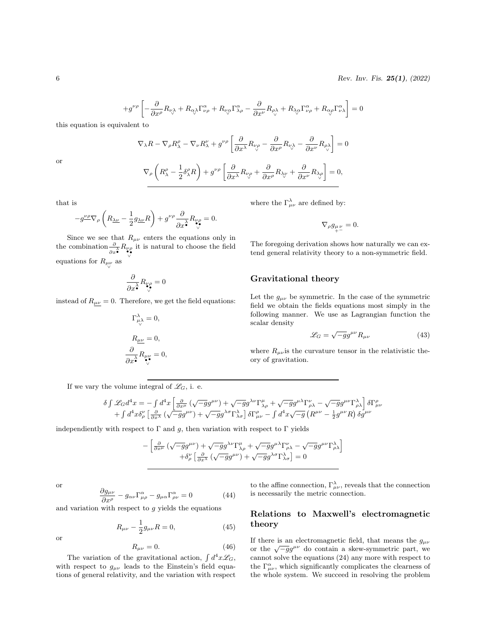$$
+g^{\nu\rho}\left[-\frac{\partial}{\partial x^{\rho}}R_{\nu\lambda}+R_{\alpha\lambda}\Gamma^{\alpha}_{\nu\rho}+R_{\nu\alpha}\Gamma^{\alpha}_{\lambda\rho}-\frac{\partial}{\partial x^{\nu}}R_{\rho\lambda}+R_{\lambda\alpha}\Gamma^{\alpha}_{\nu\rho}+R_{\alpha\rho}\Gamma^{\alpha}_{\nu\lambda}\right]=0
$$

this equation is equivalent to

or

$$
\nabla_{\rho}\left(R^{\rho}_{\lambda} - \frac{1}{2}\delta^{\rho}_{\lambda}R\right) + g^{\nu\rho}\left[\frac{\partial}{\partial x^{\lambda}}R_{\nu\rho} + \frac{\partial}{\partial x^{\rho}}R_{\lambda\rho} + \frac{\partial}{\partial x^{\nu}}R_{\lambda\rho}\right] = 0,
$$

 $\frac{\partial}{\partial x^\lambda}R_{\nu\rho}-\frac{\partial}{\partial x}$ 

 $\nabla_{\lambda}R-\nabla_{\rho}R_{\lambda}^{\rho}-\nabla_{\nu}R_{\lambda}^{\nu}+g^{\nu\rho}\left[\frac{\partial}{\partial x}\right]$ 

that is

$$
-g^{\nu\rho}\nabla_{\rho}\left(R_{\underline{\lambda}\underline{\nu}}-\frac{1}{2}g_{\underline{\lambda}\underline{\nu}}R\right)+g^{\nu\rho}\frac{\partial}{\partial x^{\lambda}}R_{\underset{\nu}{\nu}\rho}^{\nu}=0.
$$

Since we see that  $R_{\mu\nu}$  enters the equations only in the combination  $\frac{\partial}{\partial x^{\lambda}} R_{\nu\rho}$ it is natural to choose the field equations for  $R_{\mu\nu}$  as

$$
\frac{\partial}{\partial x^{\lambda}}R_{\nu\rho} = 0
$$

instead of  $R_{\mu\nu} = 0$ . Therefore, we get the field equations:

$$
\Gamma^{\lambda}_{\mu\lambda} = 0,
$$
  
\n
$$
R_{\mu\nu} = 0,
$$
  
\n
$$
\frac{\partial}{\partial x^{\lambda}} R_{\mu\nu} = 0,
$$

where the  $\Gamma_{\mu\nu}^{\lambda}$  are defined by:

 $\frac{\partial}{\partial x^{\rho}}R_{\nu\lambda}-\frac{\partial}{\partial x}$ 

 $\frac{\partial}{\partial x^{\nu}}R_{\rho\lambda}$ 

$$
\nabla_{\rho}g_{\mu\nu}_{+} = 0.
$$

 $\Big] = 0$ 

The foregoing derivation shows how naturally we can extend general relativity theory to a non-symmetric field.

### Gravitational theory

Let the  $g_{\mu\nu}$  be symmetric. In the case of the symmetric field we obtain the fields equations most simply in the following manner. We use as Lagrangian function the scalar density

$$
\mathcal{L}_G = \sqrt{-g}g^{\mu\nu}R_{\mu\nu} \tag{43}
$$

where  $R_{\mu\nu}$  is the curvature tensor in the relativistic theory of gravitation.

If we vary the volume integral of  $\mathscr{L}_G$ , i. e.

$$
\delta \int \mathscr{L}_{G} d^{4}x = -\int d^{4}x \left[ \frac{\partial}{\partial x^{\mu}} (\sqrt{-g}g^{\mu\nu}) + \sqrt{-g}g^{\lambda\nu} \Gamma^{\mu}_{\lambda\rho} + \sqrt{-g}g^{\mu\lambda} \Gamma^{\nu}_{\rho\lambda} - \sqrt{-g}g^{\mu\nu} \Gamma^{\lambda}_{\rho\lambda} \right] \delta \Gamma^{\rho}_{\mu\nu} + \int d^{4}x \delta^{\nu}_{\rho} \left[ \frac{\partial}{\partial x^{\lambda}} (\sqrt{-g}g^{\mu\nu}) + \sqrt{-g}g^{\lambda\sigma} \Gamma^{\lambda}_{\lambda\sigma} \right] \delta \Gamma^{\rho}_{\mu\nu} - \int d^{4}x \sqrt{-g} \left( R^{\mu\nu} - \frac{1}{2}g^{\mu\nu} R \right) \delta g^{\mu\nu}
$$

independiently with respect to  $\Gamma$  and g, then variation with respect to  $\Gamma$  yields

$$
\begin{aligned} &-\left[\tfrac{\partial}{\partial x^{\mu}}\left(\sqrt{-g}g^{\mu\nu}\right)+\sqrt{-g}g^{\lambda\nu}\Gamma_{\lambda\rho}^{\mu}+\sqrt{-g}g^{\mu\lambda}\Gamma_{\rho\lambda}^{\nu}-\sqrt{-g}g^{\mu\nu}\Gamma_{\rho\lambda}^{\lambda}\right] \\ &\left.+\delta_{\rho}^{\nu}\left[\tfrac{\partial}{\partial x^{\lambda}}\left(\sqrt{-g}g^{\mu\nu}\right)+\sqrt{-g}g^{\lambda\sigma}\Gamma_{\lambda\sigma}^{\lambda}\right]=0 \end{aligned}
$$

 $(46)$ 

or

or

$$
\frac{\partial g_{\mu\nu}}{\partial x^{\rho}} - g_{\alpha\nu} \Gamma^{\alpha}_{\mu\rho} - g_{\mu\alpha} \Gamma^{\alpha}_{\rho\nu} = 0 \qquad (44)
$$

and variation with respect to  $q$  yields the equations

$$
R_{\mu\nu} - \frac{1}{2}g_{\mu\nu}R = 0, \qquad (45)
$$

$$
R_{\mu\nu}=0.
$$

The variation of the gravitational action,  $\int d^4x \mathcal{L}_G$ , with respect to  $g_{\mu\nu}$  leads to the Einstein's field equations of general relativity, and the variation with respect

to the affine connection,  $\Gamma_{\mu\nu}^{\lambda}$ , reveals that the connection is necessarily the metric connection.

## Relations to Maxwell's electromagnetic theory

If there is an electromagnetic field, that means the  $g_{\mu\nu}$ or the  $\sqrt{-g}g^{\mu\nu}$  do contain a skew-symmetric part, we cannot solve the equations (24) any more with respect to the  $\Gamma^{\alpha}_{\mu\nu}$ , which significantly complicates the clearness of the whole system. We succeed in resolving the problem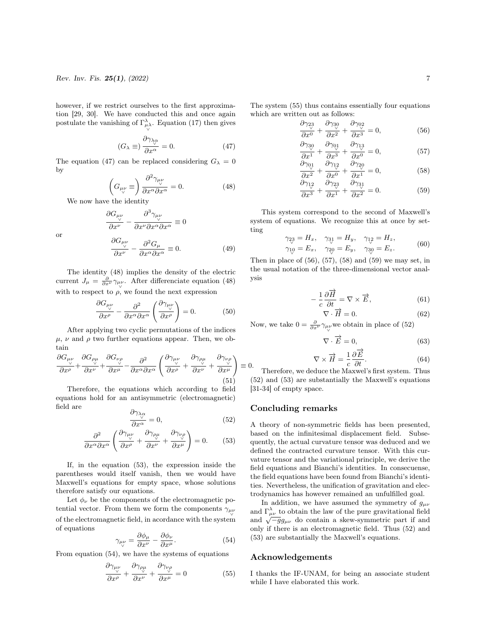however, if we restrict ourselves to the first approximation [29, 30]. We have conducted this and once again postulate the vanishing of  $\Gamma_{\mu\lambda}^{\lambda}$ . Equation (17) then gives ∨

$$
(G_{\lambda} \equiv) \frac{\partial \gamma_{\lambda_{\alpha}}}{\partial x^{\alpha}} = 0. \tag{47}
$$

The equation (47) can be replaced considering  $G_{\lambda} = 0$ by

$$
\left(G_{\mu\nu}\equiv\right)\frac{\partial^2\gamma_{\mu\nu}}{\partial x^\alpha \partial x^\alpha} = 0.
$$
 (48)

We now have the identity

or

$$
\frac{\partial G_{\mu\nu}}{\partial x^{\nu}} - \frac{\partial^{3} \gamma_{\mu\nu}}{\partial x^{\nu} \partial x^{\alpha} \partial x^{\alpha}} \equiv 0
$$

$$
\frac{\partial G_{\mu\nu}}{\partial x^{\nu}} - \frac{\partial^{2} G_{\mu}}{\partial x^{\alpha} \partial x^{\alpha}} \equiv 0.
$$
(49)

The identity (48) implies the density of the electric current  $J_{\mu} = \frac{\partial}{\partial x^{\nu}} \gamma_{\mu\nu}$ . After differenciate equation (48) with to respect to  $\rho$ , we found the next expression

$$
\frac{\partial G_{\mu\nu}}{\partial x^{\rho}} - \frac{\partial^2}{\partial x^{\alpha} \partial x^{\alpha}} \left( \frac{\partial \gamma_{\mu\nu}}{\partial x^{\rho}} \right) = 0.
$$
 (50)

After applying two cyclic permutations of the indices  $\mu$ ,  $\nu$  and  $\rho$  two further equations appear. Then, we obtain

$$
\frac{\partial G_{\mu\nu}}{\partial x^{\rho}} + \frac{\partial G_{\rho\mu}}{\partial x^{\nu}} + \frac{\partial G_{\nu\rho}}{\partial x^{\mu}} - \frac{\partial^{2}}{\partial x^{\alpha} \partial x^{\alpha}} \left( \frac{\partial \gamma_{\mu\nu}}{\partial x^{\rho}} + \frac{\partial \gamma_{\rho\mu}}{\partial x^{\nu}} + \frac{\partial \gamma_{\nu\rho}}{\partial x^{\mu}} \right) \equiv 0. \tag{51}
$$

Therefore, the equations which according to field equations hold for an antisymmetric (electromagnetic) field are  $\partial$ γ;

$$
\frac{\partial \gamma_{\lambda_{\alpha}}}{\partial x^{\alpha}} = 0, \qquad (52)
$$

$$
\frac{\partial^2}{\partial x^{\alpha} \partial x^{\alpha}} \left( \frac{\partial \gamma_{\mu\nu}}{\partial x^{\rho}} + \frac{\partial \gamma_{\rho\mu}}{\partial x^{\nu}} + \frac{\partial \gamma_{\nu\rho}}{\partial x^{\mu}} \right) = 0. \quad (53)
$$

If, in the equation (53), the expression inside the parentheses would itself vanish, then we would have Maxwell's equations for empty space, whose solutions therefore satisfy our equations.

Let  $\phi_{\nu}$  be the components of the electromagnetic potential vector. From them we form the components  $\gamma_{\mu\nu}$ ∨ of the electromagnetic field, in acordance with the system of equations

$$
\gamma_{\mu\nu} = \frac{\partial \phi_{\mu}}{\partial x^{\nu}} - \frac{\partial \phi_{\nu}}{\partial x^{\mu}}.
$$
\n(54)

From equation (54), we have the systems of equations

$$
\frac{\partial \gamma_{\mu\nu}}{\partial x^{\rho}} + \frac{\partial \gamma_{\rho\mu}}{\partial x^{\nu}} + \frac{\partial \gamma_{\nu\rho}}{\partial x^{\mu}} = 0
$$
 (55)

$$
\frac{\partial \gamma_{23}}{\partial x^0} + \frac{\partial \gamma_{30}}{\partial x^2} + \frac{\partial \gamma_{02}}{\partial x^3} = 0,
$$
 (56)

$$
\frac{\partial \gamma_{30}}{\partial x^1} + \frac{\partial \gamma_{01}}{\partial x^3} + \frac{\partial \gamma_{13}}{\partial x^0} = 0,
$$
\n
$$
\frac{\partial \gamma_{01}}{\partial \gamma_{01}} + \frac{\partial \gamma_{12}}{\partial \gamma_{12}} + \frac{\partial \gamma_{20}}{\partial \gamma_{20}} = 0,
$$
\n(57)

$$
\frac{\partial \frac{\partial u}{\partial y}}{\partial x^2} + \frac{\partial \frac{\partial u}{\partial z}}{\partial x^0} + \frac{\partial \frac{\partial u}{\partial z}}{\partial x^1} = 0, \tag{58}
$$

$$
\frac{\partial \gamma_{12}}{\partial x^3} + \frac{\partial \gamma_{23}}{\partial x^1} + \frac{\partial \gamma_{31}}{\partial x^2} = 0.
$$
 (59)

This system correspond to the second of Maxwell's system of equations. We recognize this at once by setting

$$
\gamma_{2\gamma} = H_x, \quad \gamma_{3\gamma} = H_y, \quad \gamma_{1\gamma} = H_z, \n\gamma_{1\gamma} = E_x, \quad \gamma_{2\gamma} = E_y, \quad \gamma_{3\gamma} = E_z.
$$
\n(60)

Then in place of  $(56)$ ,  $(57)$ ,  $(58)$  and  $(59)$  we may set, in the usual notation of the three-dimensional vector analysis

$$
-\frac{1}{c}\frac{\partial\overrightarrow{H}}{\partial t} = \nabla \times \overrightarrow{E},\tag{61}
$$

$$
\mathcal{C} \cdot \overrightarrow{U}
$$
  

$$
\nabla \cdot \overrightarrow{H} = 0.
$$
 (62)

Now, we take  $0 = \frac{\partial}{\partial x^{\nu}} \gamma_{\mu\nu}$  we obtain in place of (52)

$$
\nabla \cdot \overrightarrow{E} = 0,\t(63)
$$

$$
\nabla \times \overrightarrow{H} = \frac{1}{c} \frac{\partial \overrightarrow{E}}{\partial t}.
$$
 (64)

Therefore, we deduce the Maxwel's first system. Thus (52) and (53) are substantially the Maxwell's equations [31-34] of empty space.

### Concluding remarks

A theory of non-symmetric fields has been presented, based on the infinitesimal displacement field. Subsequently, the actual curvature tensor was deduced and we defined the contracted curvature tensor. With this curvature tensor and the variational principle, we derive the field equations and Bianchi's identities. In consecuense, the field equations have been found from Bianchi's identities. Nevertheless, the unification of gravitation and electrodynamics has however remained an unfulfilled goal.

In addition, we have assumed the symmetry of  $g_{\mu\nu}$ and  $\Gamma^{\lambda}_{\mu\nu}$  to obtain the law of the pure gravitational field and  $\sqrt{-g}g_{\mu\nu}$  do contain a skew-symmetric part if and  $\sqrt{-g}g_{\mu\nu}$  do contain a skew-symmetric part if and only if there is an electromagnetic field. Thus (52) and (53) are substantially the Maxwell's equations.

#### Acknowledgements

I thanks the IF-UNAM, for being an associate student while I have elaborated this work.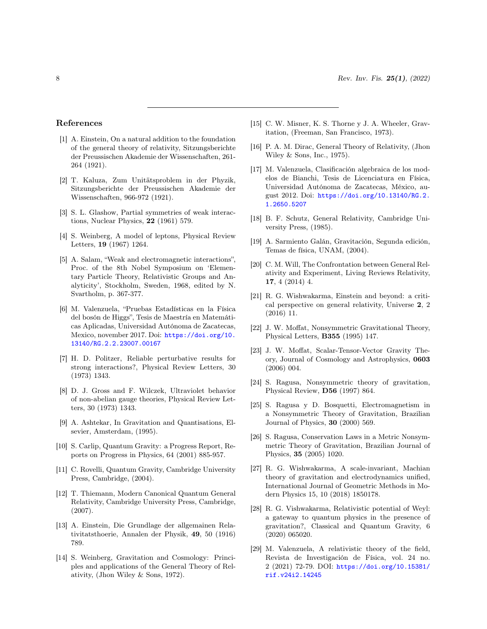#### References

- <span id="page-7-0"></span>[1] A. Einstein, On a natural addition to the foundation of the general theory of relativity, Sitzungsberichte der Preussischen Akademie der Wissenschaften, 261- 264 (1921).
- <span id="page-7-1"></span>[2] T. Kaluza, Zum Unitätsproblem in der Phyzik, Sitzungsberichte der Preussischen Akademie der Wissenschaften, 966-972 (1921).
- <span id="page-7-2"></span>[3] S. L. Glashow, Partial symmetries of weak interactions, Nuclear Physics, 22 (1961) 579.
- [4] S. Weinberg, A model of leptons, Physical Review Letters, 19 (1967) 1264.
- [5] A. Salam, "Weak and electromagnetic interactions", Proc. of the 8th Nobel Symposium on 'Elementary Particle Theory, Relativistic Groups and Analyticity', Stockholm, Sweden, 1968, edited by N. Svartholm, p. 367-377.
- <span id="page-7-3"></span>[6] M. Valenzuela, "Pruebas Estadísticas en la Física del bosón de Higgs", Tesis de Maestría en Matemáticas Aplicadas, Universidad Autónoma de Zacatecas, Mexico, november 2017. Doi: [https://doi.org/10.](https://doi.org/10.13140/RG.2.2.23007.00167) [13140/RG.2.2.23007.00167](https://doi.org/10.13140/RG.2.2.23007.00167)
- <span id="page-7-4"></span>[7] H. D. Politzer, Reliable perturbative results for strong interactions?, Physical Review Letters, 30 (1973) 1343.
- <span id="page-7-5"></span>[8] D. J. Gross and F. Wilczek, Ultraviolet behavior of non-abelian gauge theories, Physical Review Letters, 30 (1973) 1343.
- <span id="page-7-6"></span>[9] A. Ashtekar, In Gravitation and Quantisations, Elsevier, Amsterdam, (1995).
- [10] S. Carlip, Quantum Gravity: a Progress Report, Reports on Progress in Physics, 64 (2001) 885-957.
- [11] C. Rovelli, Quantum Gravity, Cambridge University Press, Cambridge, (2004).
- <span id="page-7-7"></span>[12] T. Thiemann, Modern Canonical Quantum General Relativity, Cambridge University Press, Cambridge, (2007).
- <span id="page-7-8"></span>[13] A. Einstein, Die Grundlage der allgemainen Relativitatsthoerie, Annalen der Physik, 49, 50 (1916) 789.
- [14] S. Weinberg, Gravitation and Cosmology: Principles and applications of the General Theory of Relativity, (Jhon Wiley & Sons, 1972).
- [15] C. W. Misner, K. S. Thorne y J. A. Wheeler, Gravitation, (Freeman, San Francisco, 1973).
- [16] P. A. M. Dirac, General Theory of Relativity, (Jhon Wiley & Sons, Inc., 1975).
- [17] M. Valenzuela, Clasificación algebraica de los modelos de Bianchi, Tesis de Licenciatura en Física, Universidad Autónoma de Zacatecas, México, august 2012. Doi: [https://doi.org/10.13140/RG.2.](https://doi.org/10.13140/RG.2.1.2650.5207) [1.2650.5207](https://doi.org/10.13140/RG.2.1.2650.5207)
- [18] B. F. Schutz, General Relativity, Cambridge University Press, (1985).
- [19] A. Sarmiento Galán, Gravitación, Segunda edición, Temas de física, UNAM, (2004).
- [20] C. M. Will, The Confrontation between General Relativity and Experiment, Living Reviews Relativity, 17, 4 (2014) 4.
- <span id="page-7-9"></span>[21] R. G. Wishwakarma, Einstein and beyond: a critical perspective on general relativity, Universe 2, 2 (2016) 11.
- <span id="page-7-10"></span>[22] J. W. Moffat, Nonsymmetric Gravitational Theory, Physical Letters, B355 (1995) 147.
- [23] J. W. Moffat, Scalar-Tensor-Vector Gravity Theory, Journal of Cosmology and Astrophysics, 0603 (2006) 004.
- [24] S. Ragusa, Nonsymmetric theory of gravitation, Physical Review, D56 (1997) 864.
- [25] S. Ragusa y D. Bosquetti, Electromagnetism in a Nonsymmetric Theory of Gravitation, Brazilian Journal of Physics, 30 (2000) 569.
- [26] S. Ragusa, Conservation Laws in a Metric Nonsymmetric Theory of Gravitation, Brazilian Journal of Physics, 35 (2005) 1020.
- [27] R. G. Wishwakarma, A scale-invariant, Machian theory of gravitation and electrodynamics unified, International Journal of Geometric Methods in Modern Physics 15, 10 (2018) 1850178.
- <span id="page-7-11"></span>[28] R. G. Vishwakarma, Relativistic potential of Weyl: a gateway to quantum physics in the presence of gravitation?, Classical and Quantum Gravity, 6 (2020) 065020.
- <span id="page-7-12"></span>[29] M. Valenzuela, A relativistic theory of the field, Revista de Investigación de Física, vol. 24 no. 2 (2021) 72-79. DOI: [https://doi.org/10.15381/](https://doi.org/10.15381/rif.v24i2.14245) [rif.v24i2.14245](https://doi.org/10.15381/rif.v24i2.14245)